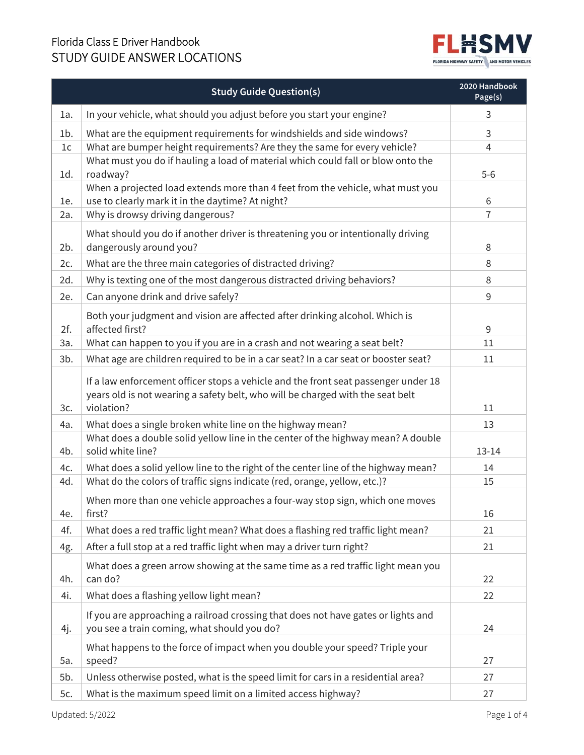## Florida Class E Driver Handbook



|        | <b>Study Guide Question(s)</b>                                                                                                                                                     | 2020 Handbook<br>Page(s) |
|--------|------------------------------------------------------------------------------------------------------------------------------------------------------------------------------------|--------------------------|
| 1a.    | In your vehicle, what should you adjust before you start your engine?                                                                                                              | 3                        |
| $1b$ . | What are the equipment requirements for windshields and side windows?                                                                                                              | 3                        |
| 1c     | What are bumper height requirements? Are they the same for every vehicle?                                                                                                          | $\overline{4}$           |
| 1d.    | What must you do if hauling a load of material which could fall or blow onto the<br>roadway?                                                                                       | $5-6$                    |
| 1e.    | When a projected load extends more than 4 feet from the vehicle, what must you<br>use to clearly mark it in the daytime? At night?                                                 | 6                        |
| 2a.    | Why is drowsy driving dangerous?                                                                                                                                                   | 7                        |
| 2b.    | What should you do if another driver is threatening you or intentionally driving<br>dangerously around you?                                                                        | 8                        |
| 2c.    | What are the three main categories of distracted driving?                                                                                                                          | 8                        |
| 2d.    | Why is texting one of the most dangerous distracted driving behaviors?                                                                                                             | 8                        |
| 2e.    | Can anyone drink and drive safely?                                                                                                                                                 | 9                        |
| 2f.    | Both your judgment and vision are affected after drinking alcohol. Which is<br>affected first?                                                                                     | 9                        |
| За.    | What can happen to you if you are in a crash and not wearing a seat belt?                                                                                                          | 11                       |
| $3b$ . | What age are children required to be in a car seat? In a car seat or booster seat?                                                                                                 | 11                       |
| 3c.    | If a law enforcement officer stops a vehicle and the front seat passenger under 18<br>years old is not wearing a safety belt, who will be charged with the seat belt<br>violation? | 11                       |
| 4a.    | What does a single broken white line on the highway mean?                                                                                                                          | 13                       |
| 4b.    | What does a double solid yellow line in the center of the highway mean? A double<br>solid white line?                                                                              | $13 - 14$                |
| 4c.    | What does a solid yellow line to the right of the center line of the highway mean?                                                                                                 | 14                       |
| 4d.    | What do the colors of traffic signs indicate (red, orange, yellow, etc.)?                                                                                                          | 15                       |
| 4e.    | When more than one vehicle approaches a four-way stop sign, which one moves<br>first?                                                                                              | 16                       |
| 4f.    | What does a red traffic light mean? What does a flashing red traffic light mean?                                                                                                   | 21                       |
| 4g.    | After a full stop at a red traffic light when may a driver turn right?                                                                                                             | 21                       |
| 4h.    | What does a green arrow showing at the same time as a red traffic light mean you<br>can do?                                                                                        | 22                       |
| 4i.    | What does a flashing yellow light mean?                                                                                                                                            | 22                       |
| 4j.    | If you are approaching a railroad crossing that does not have gates or lights and<br>you see a train coming, what should you do?                                                   | 24                       |
| 5a.    | What happens to the force of impact when you double your speed? Triple your<br>speed?                                                                                              | 27                       |
| 5b.    | Unless otherwise posted, what is the speed limit for cars in a residential area?                                                                                                   | 27                       |
| 5c.    | What is the maximum speed limit on a limited access highway?                                                                                                                       | 27                       |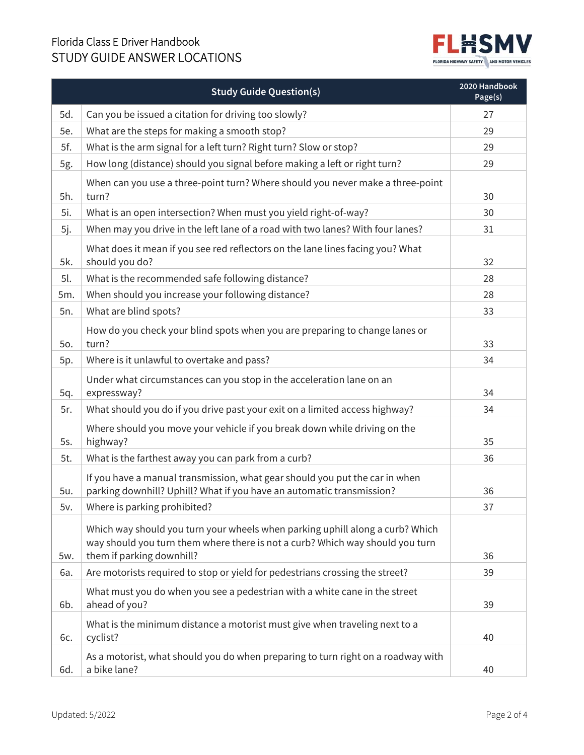## Florida Class E Driver Handbook



|     | <b>Study Guide Question(s)</b>                                                                                                                                                              | 2020 Handbook<br>Page(s) |
|-----|---------------------------------------------------------------------------------------------------------------------------------------------------------------------------------------------|--------------------------|
| 5d. | Can you be issued a citation for driving too slowly?                                                                                                                                        | 27                       |
| 5e. | What are the steps for making a smooth stop?                                                                                                                                                | 29                       |
| 5f. | What is the arm signal for a left turn? Right turn? Slow or stop?                                                                                                                           | 29                       |
| 5g. | How long (distance) should you signal before making a left or right turn?                                                                                                                   | 29                       |
| 5h. | When can you use a three-point turn? Where should you never make a three-point<br>turn?                                                                                                     | 30                       |
| 5i. | What is an open intersection? When must you yield right-of-way?                                                                                                                             | 30                       |
| 5j. | When may you drive in the left lane of a road with two lanes? With four lanes?                                                                                                              | 31                       |
| 5k. | What does it mean if you see red reflectors on the lane lines facing you? What<br>should you do?                                                                                            | 32                       |
| 5l. | What is the recommended safe following distance?                                                                                                                                            | 28                       |
| 5m. | When should you increase your following distance?                                                                                                                                           | 28                       |
| 5n. | What are blind spots?                                                                                                                                                                       | 33                       |
| 50. | How do you check your blind spots when you are preparing to change lanes or<br>turn?                                                                                                        | 33                       |
| 5p. | Where is it unlawful to overtake and pass?                                                                                                                                                  | 34                       |
| 5q. | Under what circumstances can you stop in the acceleration lane on an<br>expressway?                                                                                                         | 34                       |
| 5r. | What should you do if you drive past your exit on a limited access highway?                                                                                                                 | 34                       |
| 5s. | Where should you move your vehicle if you break down while driving on the<br>highway?                                                                                                       | 35                       |
| 5t. | What is the farthest away you can park from a curb?                                                                                                                                         | 36                       |
| 5u. | If you have a manual transmission, what gear should you put the car in when<br>parking downhill? Uphill? What if you have an automatic transmission?                                        | 36                       |
| 5v. | Where is parking prohibited?                                                                                                                                                                | 37                       |
| 5w. | Which way should you turn your wheels when parking uphill along a curb? Which<br>way should you turn them where there is not a curb? Which way should you turn<br>them if parking downhill? | 36                       |
| 6a. | Are motorists required to stop or yield for pedestrians crossing the street?                                                                                                                | 39                       |
| 6b. | What must you do when you see a pedestrian with a white cane in the street<br>ahead of you?                                                                                                 | 39                       |
| 6с. | What is the minimum distance a motorist must give when traveling next to a<br>cyclist?                                                                                                      | 40                       |
| 6d. | As a motorist, what should you do when preparing to turn right on a roadway with<br>a bike lane?                                                                                            | 40                       |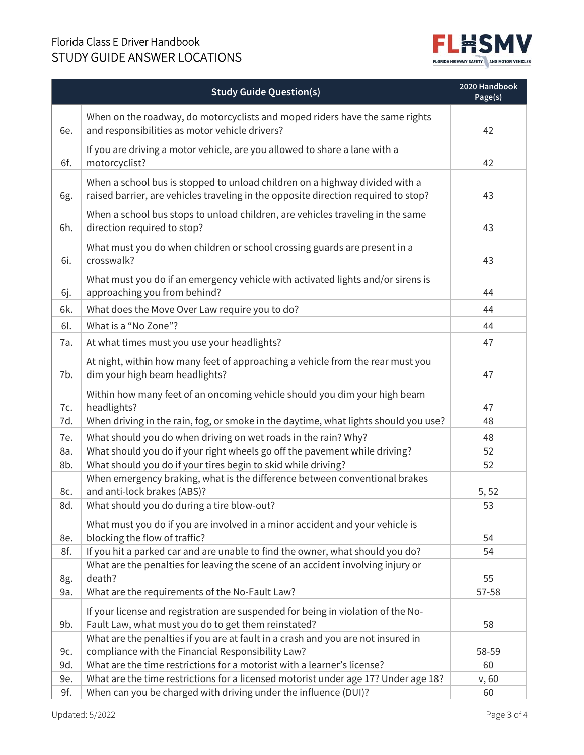## Florida Class E Driver Handbook



|            | <b>Study Guide Question(s)</b>                                                                                                                                    | 2020 Handbook<br>Page(s) |
|------------|-------------------------------------------------------------------------------------------------------------------------------------------------------------------|--------------------------|
| 6e.        | When on the roadway, do motorcyclists and moped riders have the same rights<br>and responsibilities as motor vehicle drivers?                                     | 42                       |
| 6f.        | If you are driving a motor vehicle, are you allowed to share a lane with a<br>motorcyclist?                                                                       | 42                       |
| 6g.        | When a school bus is stopped to unload children on a highway divided with a<br>raised barrier, are vehicles traveling in the opposite direction required to stop? | 43                       |
| 6h.        | When a school bus stops to unload children, are vehicles traveling in the same<br>direction required to stop?                                                     | 43                       |
| 6i.        | What must you do when children or school crossing guards are present in a<br>crosswalk?                                                                           | 43                       |
| 6j.        | What must you do if an emergency vehicle with activated lights and/or sirens is<br>approaching you from behind?                                                   | 44                       |
| 6k.        | What does the Move Over Law require you to do?                                                                                                                    | 44                       |
| 6l.        | What is a "No Zone"?                                                                                                                                              | 44                       |
| 7a.        | At what times must you use your headlights?                                                                                                                       | 47                       |
| 7b.        | At night, within how many feet of approaching a vehicle from the rear must you<br>dim your high beam headlights?                                                  | 47                       |
| 7c.        | Within how many feet of an oncoming vehicle should you dim your high beam<br>headlights?                                                                          | 47                       |
| 7d.        | When driving in the rain, fog, or smoke in the daytime, what lights should you use?                                                                               | 48                       |
| 7e.        | What should you do when driving on wet roads in the rain? Why?                                                                                                    | 48                       |
| 8a.        | What should you do if your right wheels go off the pavement while driving?                                                                                        | 52                       |
| 8b.        | What should you do if your tires begin to skid while driving?<br>When emergency braking, what is the difference between conventional brakes                       | 52                       |
| 8c.<br>8d. | and anti-lock brakes (ABS)?<br>What should you do during a tire blow-out?                                                                                         | 5, 52<br>53              |
| 8e.        | What must you do if you are involved in a minor accident and your vehicle is<br>blocking the flow of traffic?                                                     | 54                       |
| 8f.        | If you hit a parked car and are unable to find the owner, what should you do?                                                                                     | 54                       |
| 8g.        | What are the penalties for leaving the scene of an accident involving injury or<br>death?                                                                         | 55                       |
| 9a.        | What are the requirements of the No-Fault Law?                                                                                                                    | 57-58                    |
| 9b.        | If your license and registration are suspended for being in violation of the No-<br>Fault Law, what must you do to get them reinstated?                           | 58                       |
| 9c.        | What are the penalties if you are at fault in a crash and you are not insured in<br>compliance with the Financial Responsibility Law?                             | 58-59                    |
| 9d.        | What are the time restrictions for a motorist with a learner's license?                                                                                           | 60                       |
| 9e.        | What are the time restrictions for a licensed motorist under age 17? Under age 18?                                                                                | v, 60                    |
| 9f.        | When can you be charged with driving under the influence (DUI)?                                                                                                   | 60                       |